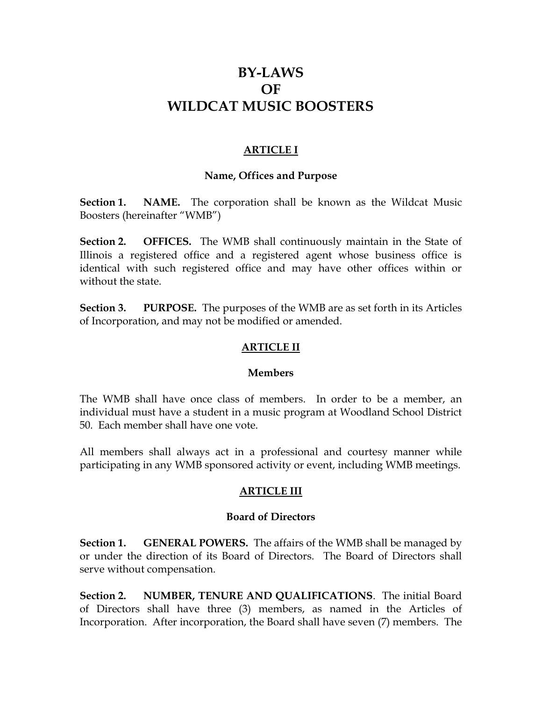# **BY-LAWS OF WILDCAT MUSIC BOOSTERS**

# **ARTICLE I**

### **Name, Offices and Purpose**

**Section 1.** NAME. The corporation shall be known as the Wildcat Music Boosters (hereinafter "WMB")

**Section 2. OFFICES.** The WMB shall continuously maintain in the State of Illinois a registered office and a registered agent whose business office is identical with such registered office and may have other offices within or without the state.

**Section 3. PURPOSE.** The purposes of the WMB are as set forth in its Articles of Incorporation, and may not be modified or amended.

## **ARTICLE II**

### **Members**

The WMB shall have once class of members. In order to be a member, an individual must have a student in a music program at Woodland School District 50. Each member shall have one vote.

All members shall always act in a professional and courtesy manner while participating in any WMB sponsored activity or event, including WMB meetings.

### **ARTICLE III**

### **Board of Directors**

**Section 1. GENERAL POWERS.** The affairs of the WMB shall be managed by or under the direction of its Board of Directors. The Board of Directors shall serve without compensation.

**Section 2. NUMBER, TENURE AND QUALIFICATIONS**. The initial Board of Directors shall have three (3) members, as named in the Articles of Incorporation. After incorporation, the Board shall have seven (7) members. The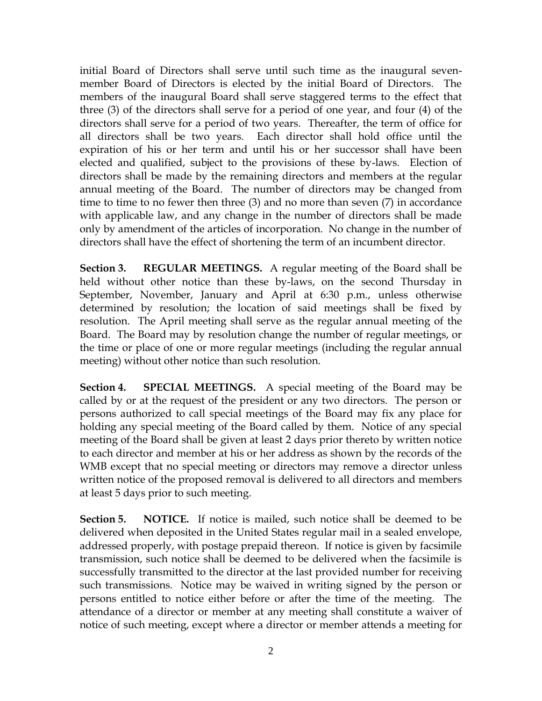initial Board of Directors shall serve until such time as the inaugural sevenmember Board of Directors is elected by the initial Board of Directors. The members of the inaugural Board shall serve staggered terms to the effect that three (3) of the directors shall serve for a period of one year, and four (4) of the directors shall serve for a period of two years. Thereafter, the term of office for all directors shall be two years. Each director shall hold office until the expiration of his or her term and until his or her successor shall have been elected and qualified, subject to the provisions of these by-laws. Election of directors shall be made by the remaining directors and members at the regular annual meeting of the Board. The number of directors may be changed from time to time to no fewer then three (3) and no more than seven (7) in accordance with applicable law, and any change in the number of directors shall be made only by amendment of the articles of incorporation. No change in the number of directors shall have the effect of shortening the term of an incumbent director.

**Section 3. REGULAR MEETINGS.** A regular meeting of the Board shall be held without other notice than these by-laws, on the second Thursday in September, November, January and April at 6:30 p.m., unless otherwise determined by resolution; the location of said meetings shall be fixed by resolution. The April meeting shall serve as the regular annual meeting of the Board. The Board may by resolution change the number of regular meetings, or the time or place of one or more regular meetings (including the regular annual meeting) without other notice than such resolution.

**Section 4. SPECIAL MEETINGS.** A special meeting of the Board may be called by or at the request of the president or any two directors. The person or persons authorized to call special meetings of the Board may fix any place for holding any special meeting of the Board called by them. Notice of any special meeting of the Board shall be given at least 2 days prior thereto by written notice to each director and member at his or her address as shown by the records of the WMB except that no special meeting or directors may remove a director unless written notice of the proposed removal is delivered to all directors and members at least 5 days prior to such meeting.

**Section 5. NOTICE.** If notice is mailed, such notice shall be deemed to be delivered when deposited in the United States regular mail in a sealed envelope, addressed properly, with postage prepaid thereon. If notice is given by facsimile transmission, such notice shall be deemed to be delivered when the facsimile is successfully transmitted to the director at the last provided number for receiving such transmissions. Notice may be waived in writing signed by the person or persons entitled to notice either before or after the time of the meeting. The attendance of a director or member at any meeting shall constitute a waiver of notice of such meeting, except where a director or member attends a meeting for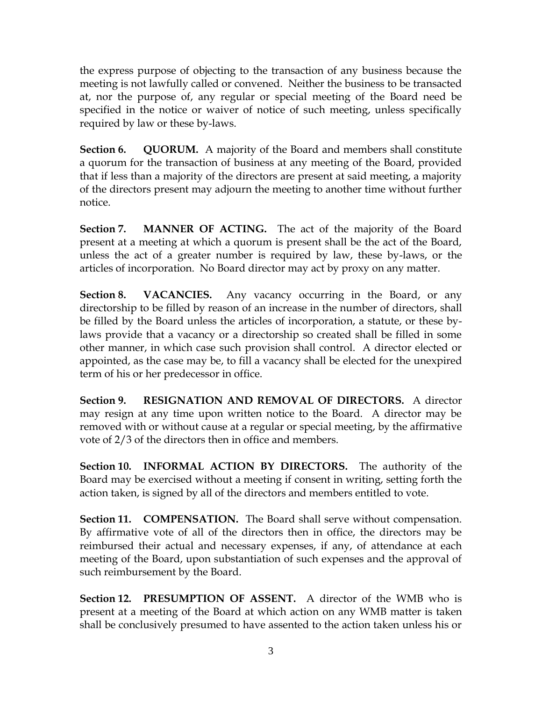the express purpose of objecting to the transaction of any business because the meeting is not lawfully called or convened. Neither the business to be transacted at, nor the purpose of, any regular or special meeting of the Board need be specified in the notice or waiver of notice of such meeting, unless specifically required by law or these by-laws.

**Section 6. QUORUM.** A majority of the Board and members shall constitute a quorum for the transaction of business at any meeting of the Board, provided that if less than a majority of the directors are present at said meeting, a majority of the directors present may adjourn the meeting to another time without further notice.

**Section 7. MANNER OF ACTING.** The act of the majority of the Board present at a meeting at which a quorum is present shall be the act of the Board, unless the act of a greater number is required by law, these by-laws, or the articles of incorporation. No Board director may act by proxy on any matter.

**Section 8. VACANCIES.** Any vacancy occurring in the Board, or any directorship to be filled by reason of an increase in the number of directors, shall be filled by the Board unless the articles of incorporation, a statute, or these bylaws provide that a vacancy or a directorship so created shall be filled in some other manner, in which case such provision shall control. A director elected or appointed, as the case may be, to fill a vacancy shall be elected for the unexpired term of his or her predecessor in office.

**Section 9. RESIGNATION AND REMOVAL OF DIRECTORS.** A director may resign at any time upon written notice to the Board. A director may be removed with or without cause at a regular or special meeting, by the affirmative vote of 2/3 of the directors then in office and members.

**Section 10. INFORMAL ACTION BY DIRECTORS.** The authority of the Board may be exercised without a meeting if consent in writing, setting forth the action taken, is signed by all of the directors and members entitled to vote.

**Section 11. COMPENSATION.** The Board shall serve without compensation. By affirmative vote of all of the directors then in office, the directors may be reimbursed their actual and necessary expenses, if any, of attendance at each meeting of the Board, upon substantiation of such expenses and the approval of such reimbursement by the Board.

**Section 12. PRESUMPTION OF ASSENT.** A director of the WMB who is present at a meeting of the Board at which action on any WMB matter is taken shall be conclusively presumed to have assented to the action taken unless his or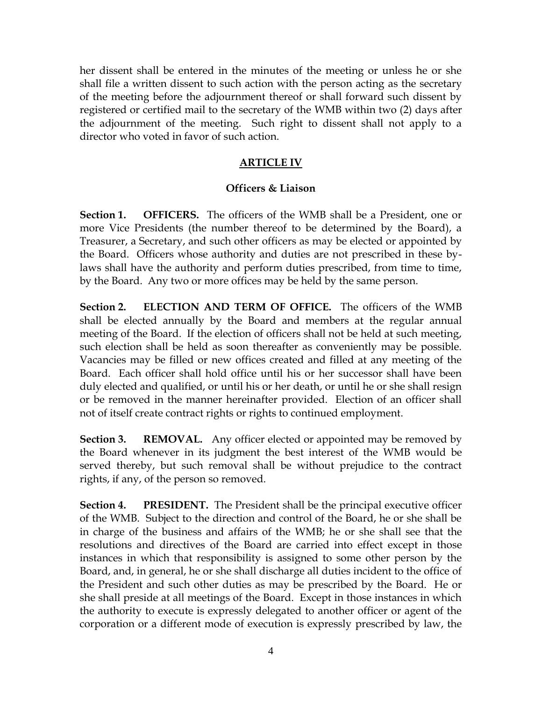her dissent shall be entered in the minutes of the meeting or unless he or she shall file a written dissent to such action with the person acting as the secretary of the meeting before the adjournment thereof or shall forward such dissent by registered or certified mail to the secretary of the WMB within two (2) days after the adjournment of the meeting. Such right to dissent shall not apply to a director who voted in favor of such action.

# **ARTICLE IV**

# **Officers & Liaison**

**Section 1. OFFICERS.** The officers of the WMB shall be a President, one or more Vice Presidents (the number thereof to be determined by the Board), a Treasurer, a Secretary, and such other officers as may be elected or appointed by the Board. Officers whose authority and duties are not prescribed in these bylaws shall have the authority and perform duties prescribed, from time to time, by the Board. Any two or more offices may be held by the same person.

**Section 2. ELECTION AND TERM OF OFFICE.** The officers of the WMB shall be elected annually by the Board and members at the regular annual meeting of the Board. If the election of officers shall not be held at such meeting, such election shall be held as soon thereafter as conveniently may be possible. Vacancies may be filled or new offices created and filled at any meeting of the Board. Each officer shall hold office until his or her successor shall have been duly elected and qualified, or until his or her death, or until he or she shall resign or be removed in the manner hereinafter provided. Election of an officer shall not of itself create contract rights or rights to continued employment.

**Section 3. REMOVAL.** Any officer elected or appointed may be removed by the Board whenever in its judgment the best interest of the WMB would be served thereby, but such removal shall be without prejudice to the contract rights, if any, of the person so removed.

**Section 4. PRESIDENT.** The President shall be the principal executive officer of the WMB. Subject to the direction and control of the Board, he or she shall be in charge of the business and affairs of the WMB; he or she shall see that the resolutions and directives of the Board are carried into effect except in those instances in which that responsibility is assigned to some other person by the Board, and, in general, he or she shall discharge all duties incident to the office of the President and such other duties as may be prescribed by the Board. He or she shall preside at all meetings of the Board. Except in those instances in which the authority to execute is expressly delegated to another officer or agent of the corporation or a different mode of execution is expressly prescribed by law, the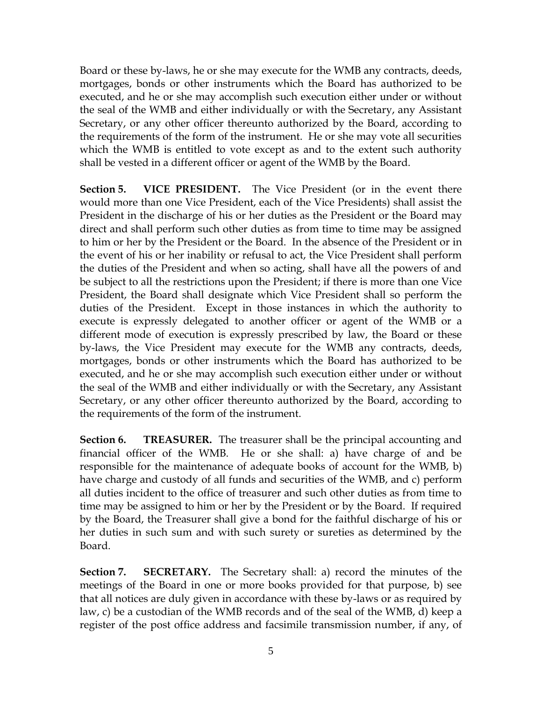Board or these by-laws, he or she may execute for the WMB any contracts, deeds, mortgages, bonds or other instruments which the Board has authorized to be executed, and he or she may accomplish such execution either under or without the seal of the WMB and either individually or with the Secretary, any Assistant Secretary, or any other officer thereunto authorized by the Board, according to the requirements of the form of the instrument. He or she may vote all securities which the WMB is entitled to vote except as and to the extent such authority shall be vested in a different officer or agent of the WMB by the Board.

**Section 5. VICE PRESIDENT.** The Vice President (or in the event there would more than one Vice President, each of the Vice Presidents) shall assist the President in the discharge of his or her duties as the President or the Board may direct and shall perform such other duties as from time to time may be assigned to him or her by the President or the Board. In the absence of the President or in the event of his or her inability or refusal to act, the Vice President shall perform the duties of the President and when so acting, shall have all the powers of and be subject to all the restrictions upon the President; if there is more than one Vice President, the Board shall designate which Vice President shall so perform the duties of the President. Except in those instances in which the authority to execute is expressly delegated to another officer or agent of the WMB or a different mode of execution is expressly prescribed by law, the Board or these by-laws, the Vice President may execute for the WMB any contracts, deeds, mortgages, bonds or other instruments which the Board has authorized to be executed, and he or she may accomplish such execution either under or without the seal of the WMB and either individually or with the Secretary, any Assistant Secretary, or any other officer thereunto authorized by the Board, according to the requirements of the form of the instrument.

**Section 6.** TREASURER. The treasurer shall be the principal accounting and financial officer of the WMB. He or she shall: a) have charge of and be responsible for the maintenance of adequate books of account for the WMB, b) have charge and custody of all funds and securities of the WMB, and c) perform all duties incident to the office of treasurer and such other duties as from time to time may be assigned to him or her by the President or by the Board. If required by the Board, the Treasurer shall give a bond for the faithful discharge of his or her duties in such sum and with such surety or sureties as determined by the Board.

**Section 7. SECRETARY.** The Secretary shall: a) record the minutes of the meetings of the Board in one or more books provided for that purpose, b) see that all notices are duly given in accordance with these by-laws or as required by law, c) be a custodian of the WMB records and of the seal of the WMB, d) keep a register of the post office address and facsimile transmission number, if any, of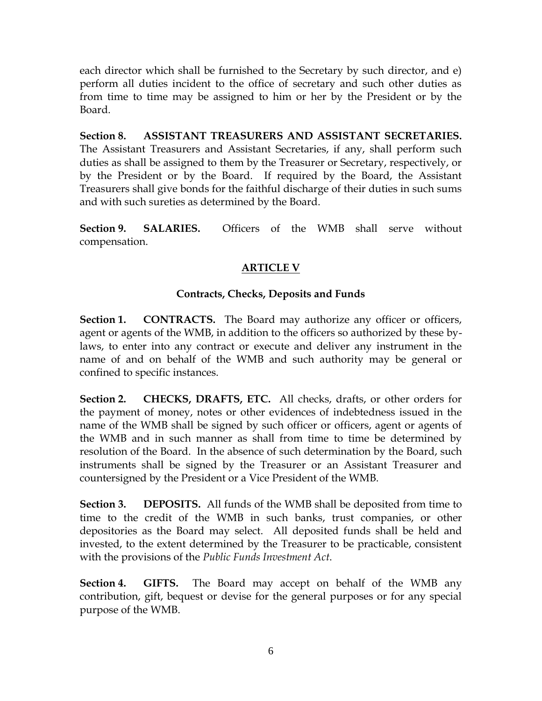each director which shall be furnished to the Secretary by such director, and e) perform all duties incident to the office of secretary and such other duties as from time to time may be assigned to him or her by the President or by the Board.

**Section 8. ASSISTANT TREASURERS AND ASSISTANT SECRETARIES.** The Assistant Treasurers and Assistant Secretaries, if any, shall perform such duties as shall be assigned to them by the Treasurer or Secretary, respectively, or by the President or by the Board. If required by the Board, the Assistant Treasurers shall give bonds for the faithful discharge of their duties in such sums and with such sureties as determined by the Board.

**Section 9. SALARIES.** Officers of the WMB shall serve without compensation.

# **ARTICLE V**

# **Contracts, Checks, Deposits and Funds**

**Section 1. CONTRACTS.** The Board may authorize any officer or officers, agent or agents of the WMB, in addition to the officers so authorized by these bylaws, to enter into any contract or execute and deliver any instrument in the name of and on behalf of the WMB and such authority may be general or confined to specific instances.

**Section 2. CHECKS, DRAFTS, ETC.** All checks, drafts, or other orders for the payment of money, notes or other evidences of indebtedness issued in the name of the WMB shall be signed by such officer or officers, agent or agents of the WMB and in such manner as shall from time to time be determined by resolution of the Board. In the absence of such determination by the Board, such instruments shall be signed by the Treasurer or an Assistant Treasurer and countersigned by the President or a Vice President of the WMB.

**Section 3. DEPOSITS.** All funds of the WMB shall be deposited from time to time to the credit of the WMB in such banks, trust companies, or other depositories as the Board may select. All deposited funds shall be held and invested, to the extent determined by the Treasurer to be practicable, consistent with the provisions of the *Public Funds Investment Act*.

**Section 4. GIFTS.** The Board may accept on behalf of the WMB any contribution, gift, bequest or devise for the general purposes or for any special purpose of the WMB.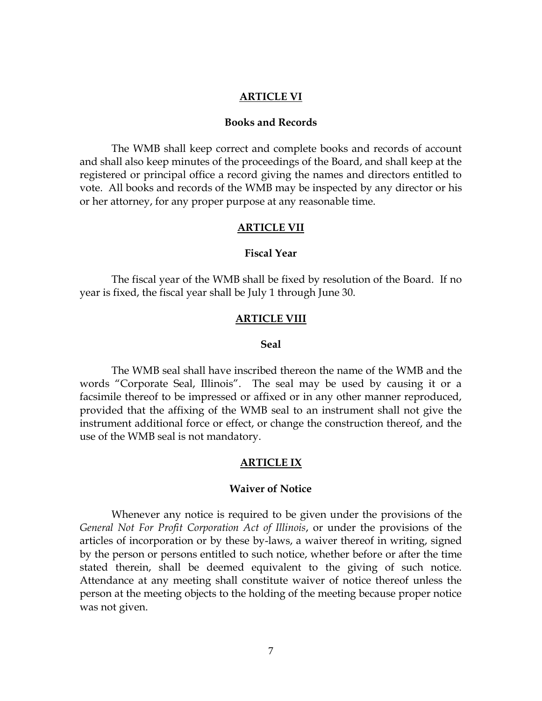#### **ARTICLE VI**

### **Books and Records**

The WMB shall keep correct and complete books and records of account and shall also keep minutes of the proceedings of the Board, and shall keep at the registered or principal office a record giving the names and directors entitled to vote. All books and records of the WMB may be inspected by any director or his or her attorney, for any proper purpose at any reasonable time.

#### **ARTICLE VII**

### **Fiscal Year**

The fiscal year of the WMB shall be fixed by resolution of the Board. If no year is fixed, the fiscal year shall be July 1 through June 30.

#### **ARTICLE VIII**

#### **Seal**

The WMB seal shall have inscribed thereon the name of the WMB and the words "Corporate Seal, Illinois". The seal may be used by causing it or a facsimile thereof to be impressed or affixed or in any other manner reproduced, provided that the affixing of the WMB seal to an instrument shall not give the instrument additional force or effect, or change the construction thereof, and the use of the WMB seal is not mandatory.

#### **ARTICLE IX**

#### **Waiver of Notice**

Whenever any notice is required to be given under the provisions of the *General Not For Profit Corporation Act of Illinois*, or under the provisions of the articles of incorporation or by these by-laws, a waiver thereof in writing, signed by the person or persons entitled to such notice, whether before or after the time stated therein, shall be deemed equivalent to the giving of such notice. Attendance at any meeting shall constitute waiver of notice thereof unless the person at the meeting objects to the holding of the meeting because proper notice was not given.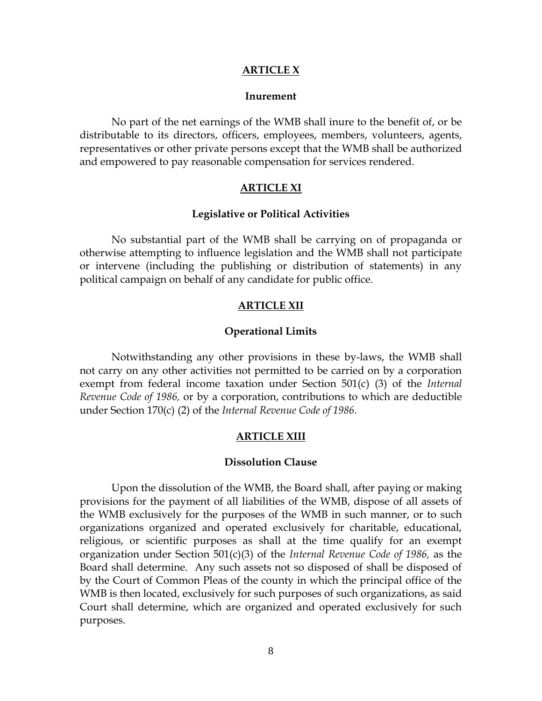#### **ARTICLE X**

#### **Inurement**

No part of the net earnings of the WMB shall inure to the benefit of, or be distributable to its directors, officers, employees, members, volunteers, agents, representatives or other private persons except that the WMB shall be authorized and empowered to pay reasonable compensation for services rendered.

#### **ARTICLE XI**

#### **Legislative or Political Activities**

No substantial part of the WMB shall be carrying on of propaganda or otherwise attempting to influence legislation and the WMB shall not participate or intervene (including the publishing or distribution of statements) in any political campaign on behalf of any candidate for public office.

#### **ARTICLE XII**

#### **Operational Limits**

Notwithstanding any other provisions in these by-laws, the WMB shall not carry on any other activities not permitted to be carried on by a corporation exempt from federal income taxation under Section 501(c) (3) of the *Internal Revenue Code of 1986,* or by a corporation, contributions to which are deductible under Section 170(c) (2) of the *Internal Revenue Code of 1986*.

#### **ARTICLE XIII**

#### **Dissolution Clause**

Upon the dissolution of the WMB, the Board shall, after paying or making provisions for the payment of all liabilities of the WMB, dispose of all assets of the WMB exclusively for the purposes of the WMB in such manner, or to such organizations organized and operated exclusively for charitable, educational, religious, or scientific purposes as shall at the time qualify for an exempt organization under Section 501(c)(3) of the *Internal Revenue Code of 1986,* as the Board shall determine. Any such assets not so disposed of shall be disposed of by the Court of Common Pleas of the county in which the principal office of the WMB is then located, exclusively for such purposes of such organizations, as said Court shall determine, which are organized and operated exclusively for such purposes.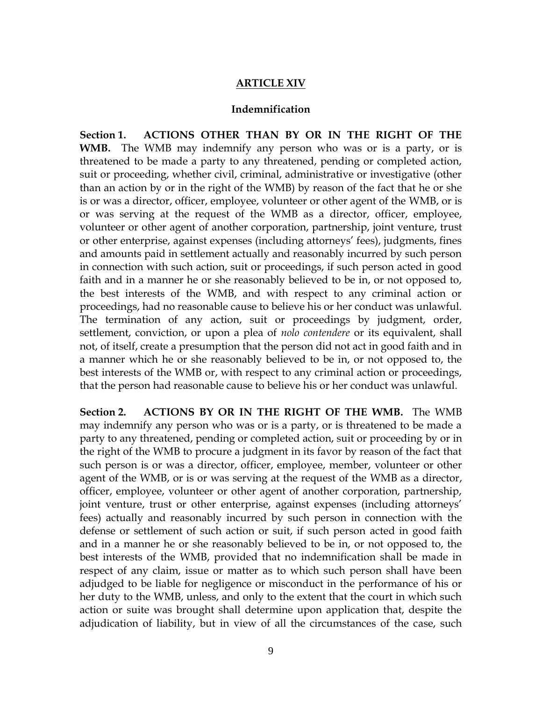### **ARTICLE XIV**

### **Indemnification**

**Section 1. ACTIONS OTHER THAN BY OR IN THE RIGHT OF THE WMB.** The WMB may indemnify any person who was or is a party, or is threatened to be made a party to any threatened, pending or completed action, suit or proceeding, whether civil, criminal, administrative or investigative (other than an action by or in the right of the WMB) by reason of the fact that he or she is or was a director, officer, employee, volunteer or other agent of the WMB, or is or was serving at the request of the WMB as a director, officer, employee, volunteer or other agent of another corporation, partnership, joint venture, trust or other enterprise, against expenses (including attorneys' fees), judgments, fines and amounts paid in settlement actually and reasonably incurred by such person in connection with such action, suit or proceedings, if such person acted in good faith and in a manner he or she reasonably believed to be in, or not opposed to, the best interests of the WMB, and with respect to any criminal action or proceedings, had no reasonable cause to believe his or her conduct was unlawful. The termination of any action, suit or proceedings by judgment, order, settlement, conviction, or upon a plea of *nolo contendere* or its equivalent, shall not, of itself, create a presumption that the person did not act in good faith and in a manner which he or she reasonably believed to be in, or not opposed to, the best interests of the WMB or, with respect to any criminal action or proceedings, that the person had reasonable cause to believe his or her conduct was unlawful.

**Section 2. ACTIONS BY OR IN THE RIGHT OF THE WMB.** The WMB may indemnify any person who was or is a party, or is threatened to be made a party to any threatened, pending or completed action, suit or proceeding by or in the right of the WMB to procure a judgment in its favor by reason of the fact that such person is or was a director, officer, employee, member, volunteer or other agent of the WMB, or is or was serving at the request of the WMB as a director, officer, employee, volunteer or other agent of another corporation, partnership, joint venture, trust or other enterprise, against expenses (including attorneys' fees) actually and reasonably incurred by such person in connection with the defense or settlement of such action or suit, if such person acted in good faith and in a manner he or she reasonably believed to be in, or not opposed to, the best interests of the WMB, provided that no indemnification shall be made in respect of any claim, issue or matter as to which such person shall have been adjudged to be liable for negligence or misconduct in the performance of his or her duty to the WMB, unless, and only to the extent that the court in which such action or suite was brought shall determine upon application that, despite the adjudication of liability, but in view of all the circumstances of the case, such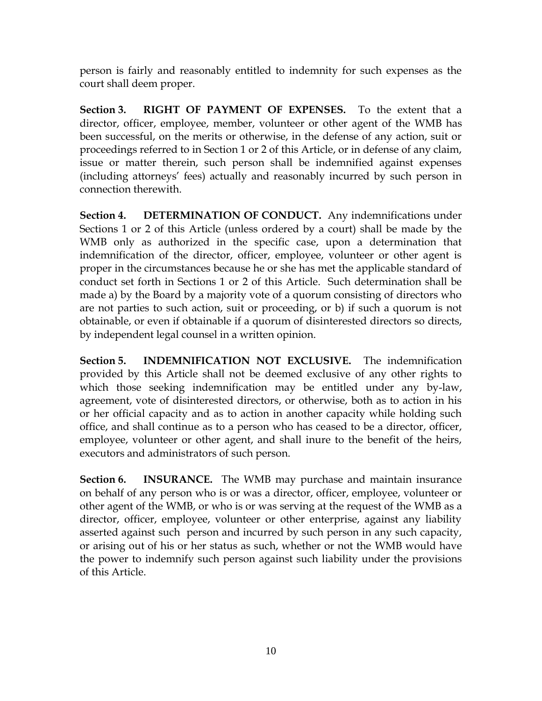person is fairly and reasonably entitled to indemnity for such expenses as the court shall deem proper.

**Section 3. RIGHT OF PAYMENT OF EXPENSES.** To the extent that a director, officer, employee, member, volunteer or other agent of the WMB has been successful, on the merits or otherwise, in the defense of any action, suit or proceedings referred to in Section 1 or 2 of this Article, or in defense of any claim, issue or matter therein, such person shall be indemnified against expenses (including attorneys' fees) actually and reasonably incurred by such person in connection therewith.

**Section 4. DETERMINATION OF CONDUCT.** Any indemnifications under Sections 1 or 2 of this Article (unless ordered by a court) shall be made by the WMB only as authorized in the specific case, upon a determination that indemnification of the director, officer, employee, volunteer or other agent is proper in the circumstances because he or she has met the applicable standard of conduct set forth in Sections 1 or 2 of this Article. Such determination shall be made a) by the Board by a majority vote of a quorum consisting of directors who are not parties to such action, suit or proceeding, or b) if such a quorum is not obtainable, or even if obtainable if a quorum of disinterested directors so directs, by independent legal counsel in a written opinion.

**Section 5. INDEMNIFICATION NOT EXCLUSIVE.** The indemnification provided by this Article shall not be deemed exclusive of any other rights to which those seeking indemnification may be entitled under any by-law, agreement, vote of disinterested directors, or otherwise, both as to action in his or her official capacity and as to action in another capacity while holding such office, and shall continue as to a person who has ceased to be a director, officer, employee, volunteer or other agent, and shall inure to the benefit of the heirs, executors and administrators of such person.

**Section 6. INSURANCE.** The WMB may purchase and maintain insurance on behalf of any person who is or was a director, officer, employee, volunteer or other agent of the WMB, or who is or was serving at the request of the WMB as a director, officer, employee, volunteer or other enterprise, against any liability asserted against such person and incurred by such person in any such capacity, or arising out of his or her status as such, whether or not the WMB would have the power to indemnify such person against such liability under the provisions of this Article.